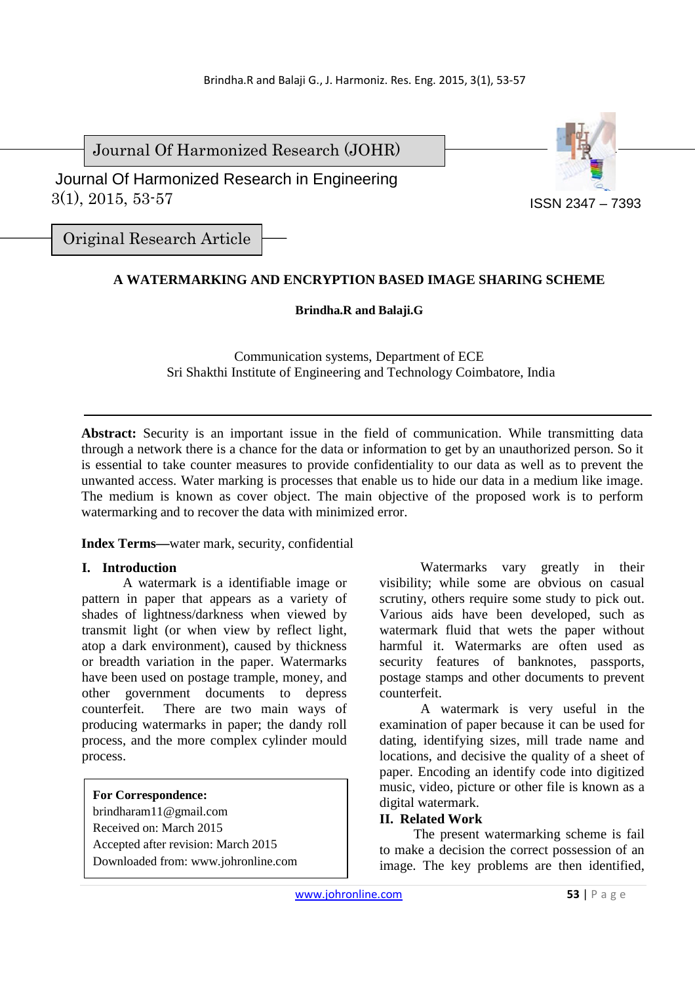Journal Of Harmonized Research (JOHR)

 3(1), 2015, 53-57 Journal Of Harmonized Research in Engineering



Original Research Article

# **A WATERMARKING AND ENCRYPTION BASED IMAGE SHARING SCHEME**

### **Brindha.R and Balaji.G**

Communication systems, Department of ECE Sri Shakthi Institute of Engineering and Technology Coimbatore, India

**Abstract:** Security is an important issue in the field of communication. While transmitting data through a network there is a chance for the data or information to get by an unauthorized person. So it is essential to take counter measures to provide confidentiality to our data as well as to prevent the unwanted access. Water marking is processes that enable us to hide our data in a medium like image. The medium is known as cover object. The main objective of the proposed work is to perform watermarking and to recover the data with minimized error.

**Index Terms—**water mark, security, confidential

#### **I. Introduction**

A watermark is a identifiable image or pattern in paper that appears as a variety of shades of lightness/darkness when viewed by transmit light (or when view by reflect light, atop a dark environment), caused by thickness or breadth variation in the paper. Watermarks have been used on postage trample, money, and other government documents to depress counterfeit. There are two main ways of producing watermarks in paper; the dandy roll process, and the more complex cylinder mould process.

#### **For Correspondence:**

brindharam11@gmail.com Received on: March 2015 Accepted after revision: March 2015 Downloaded from: www.johronline.com

Watermarks vary greatly in their visibility; while some are obvious on casual scrutiny, others require some study to pick out. Various aids have been developed, such as watermark fluid that wets the paper without harmful it. Watermarks are often used as security features of banknotes, passports, postage stamps and other documents to prevent counterfeit.

A watermark is very useful in the examination of paper because it can be used for dating, identifying sizes, mill trade name and locations, and decisive the quality of a sheet of paper. Encoding an identify code into digitized music, video, picture or other file is known as a digital watermark.

### **II. Related Work**

 The present watermarking scheme is fail to make a decision the correct possession of an image. The key problems are then identified,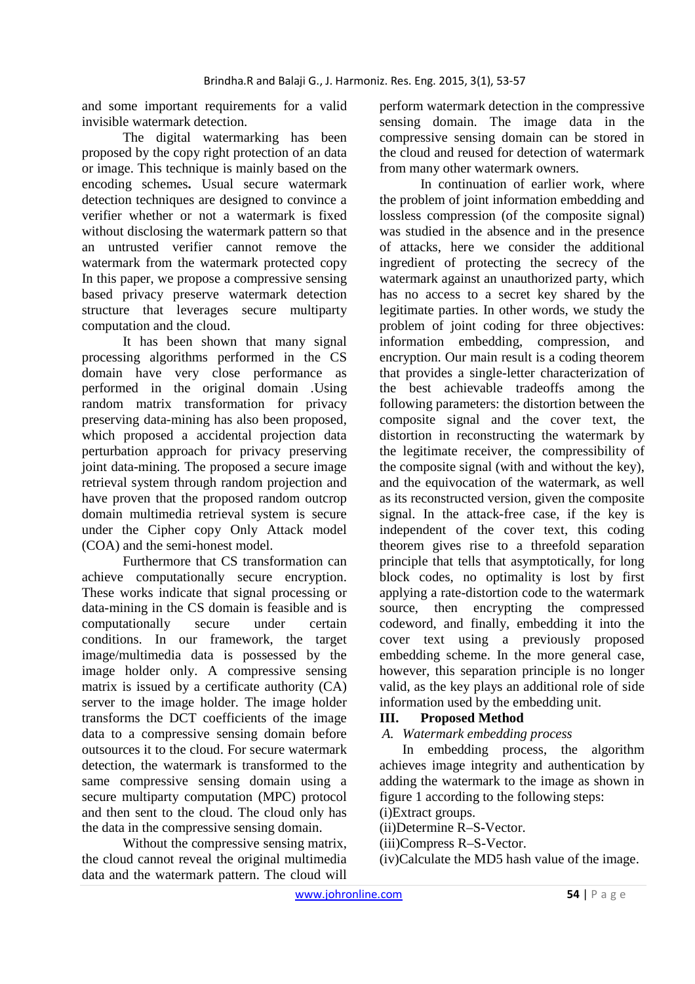and some important requirements for a valid invisible watermark detection.

The digital watermarking has been proposed by the copy right protection of an data or image. This technique is mainly based on the encoding schemes**.** Usual secure watermark detection techniques are designed to convince a verifier whether or not a watermark is fixed without disclosing the watermark pattern so that an untrusted verifier cannot remove the watermark from the watermark protected copy In this paper, we propose a compressive sensing based privacy preserve watermark detection structure that leverages secure multiparty computation and the cloud.

It has been shown that many signal processing algorithms performed in the CS domain have very close performance as performed in the original domain .Using random matrix transformation for privacy preserving data-mining has also been proposed, which proposed a accidental projection data perturbation approach for privacy preserving joint data-mining. The proposed a secure image retrieval system through random projection and have proven that the proposed random outcrop domain multimedia retrieval system is secure under the Cipher copy Only Attack model (COA) and the semi-honest model.

Furthermore that CS transformation can achieve computationally secure encryption. These works indicate that signal processing or data-mining in the CS domain is feasible and is computationally secure under certain conditions. In our framework, the target image/multimedia data is possessed by the image holder only. A compressive sensing matrix is issued by a certificate authority (CA) server to the image holder. The image holder transforms the DCT coefficients of the image data to a compressive sensing domain before outsources it to the cloud. For secure watermark detection, the watermark is transformed to the same compressive sensing domain using a secure multiparty computation (MPC) protocol and then sent to the cloud. The cloud only has the data in the compressive sensing domain.

Without the compressive sensing matrix, the cloud cannot reveal the original multimedia data and the watermark pattern. The cloud will

perform watermark detection in the compressive sensing domain. The image data in the compressive sensing domain can be stored in the cloud and reused for detection of watermark from many other watermark owners.

In continuation of earlier work, where the problem of joint information embedding and lossless compression (of the composite signal) was studied in the absence and in the presence of attacks, here we consider the additional ingredient of protecting the secrecy of the watermark against an unauthorized party, which has no access to a secret key shared by the legitimate parties. In other words, we study the problem of joint coding for three objectives: information embedding, compression, and encryption. Our main result is a coding theorem that provides a single-letter characterization of the best achievable tradeoffs among the following parameters: the distortion between the composite signal and the cover text, the distortion in reconstructing the watermark by the legitimate receiver, the compressibility of the composite signal (with and without the key), and the equivocation of the watermark, as well as its reconstructed version, given the composite signal. In the attack-free case, if the key is independent of the cover text, this coding theorem gives rise to a threefold separation principle that tells that asymptotically, for long block codes, no optimality is lost by first applying a rate-distortion code to the watermark source, then encrypting the compressed codeword, and finally, embedding it into the cover text using a previously proposed embedding scheme. In the more general case, however, this separation principle is no longer valid, as the key plays an additional role of side information used by the embedding unit.

# **III. Proposed Method**

# *A. Watermark embedding process*

In embedding process, the algorithm achieves image integrity and authentication by adding the watermark to the image as shown in figure 1 according to the following steps:

(i)Extract groups.

(ii)Determine R–S-Vector.

(iii)Compress R–S-Vector.

(iv)Calculate the MD5 hash value of the image.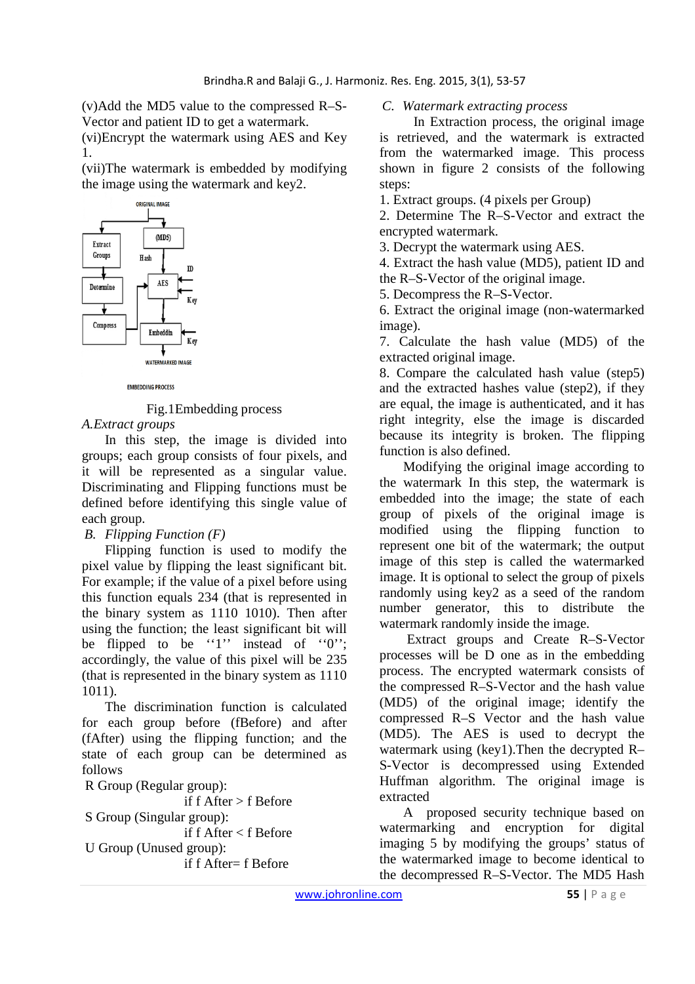(v)Add the MD5 value to the compressed R–S-Vector and patient ID to get a watermark.

(vi)Encrypt the watermark using AES and Key 1.

(vii)The watermark is embedded by modifying the image using the watermark and key2.



**EMREDDING PROCESS** 

Fig.1Embedding process

# *A.Extract groups*

In this step, the image is divided into groups; each group consists of four pixels, and it will be represented as a singular value. Discriminating and Flipping functions must be defined before identifying this single value of each group.

#### *B. Flipping Function (F)*

Flipping function is used to modify the pixel value by flipping the least significant bit. For example; if the value of a pixel before using this function equals 234 (that is represented in the binary system as 1110 1010). Then after using the function; the least significant bit will be flipped to be  $'1''$  instead of  $'0''$ ; accordingly, the value of this pixel will be 235 (that is represented in the binary system as 1110 1011).

The discrimination function is calculated for each group before (fBefore) and after (fAfter) using the flipping function; and the state of each group can be determined as follows

R Group (Regular group):

if f After > f Before

S Group (Singular group):

if f After < f Before

U Group (Unused group):

if f After= f Before

### *C. Watermark extracting process*

 In Extraction process, the original image is retrieved, and the watermark is extracted from the watermarked image. This process shown in figure 2 consists of the following steps:

1. Extract groups. (4 pixels per Group)

2. Determine The R–S-Vector and extract the encrypted watermark.

3. Decrypt the watermark using AES.

4. Extract the hash value (MD5), patient ID and the R–S-Vector of the original image.

5. Decompress the R–S-Vector.

6. Extract the original image (non-watermarked image).

7. Calculate the hash value (MD5) of the extracted original image.

8. Compare the calculated hash value (step5) and the extracted hashes value (step2), if they are equal, the image is authenticated, and it has right integrity, else the image is discarded because its integrity is broken. The flipping function is also defined.

 Modifying the original image according to the watermark In this step, the watermark is embedded into the image; the state of each group of pixels of the original image is modified using the flipping function to represent one bit of the watermark; the output image of this step is called the watermarked image. It is optional to select the group of pixels randomly using key2 as a seed of the random number generator, this to distribute the watermark randomly inside the image.

 Extract groups and Create R–S-Vector processes will be D one as in the embedding process. The encrypted watermark consists of the compressed R–S-Vector and the hash value (MD5) of the original image; identify the compressed R–S Vector and the hash value (MD5). The AES is used to decrypt the watermark using (key1).Then the decrypted R– S-Vector is decompressed using Extended Huffman algorithm. The original image is extracted

 A proposed security technique based on watermarking and encryption for digital imaging 5 by modifying the groups' status of the watermarked image to become identical to the decompressed R–S-Vector. The MD5 Hash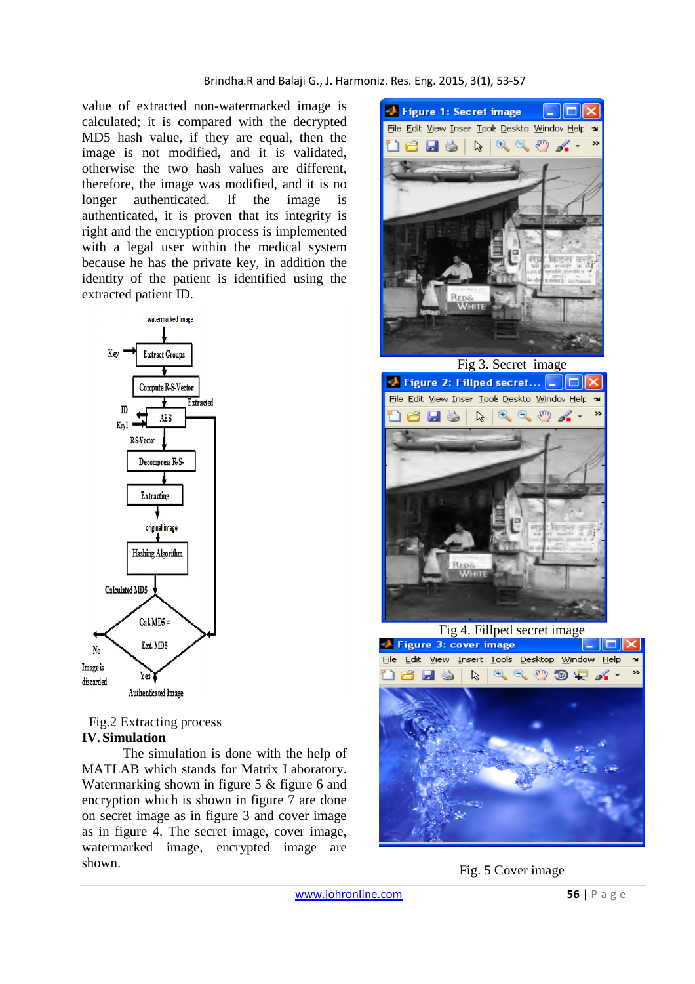value of extracted non-watermarked image is calculated; it is compared with the decrypted MD5 hash value, if they are equal, then the image is not modified, and it is validated, otherwise the two hash values are different, therefore, the image was modified, and it is no longer authenticated. If the image is authenticated, it is proven that its integrity is right and the encryption process is implemented with a legal user within the medical system because he has the private key, in addition the identity of the patient is identified using the extracted patient ID.



### Fig.2 Extracting process **IV. Simulation**

The simulation is done with the help of MATLAB which stands for Matrix Laboratory. Watermarking shown in figure 5 & figure 6 and encryption which is shown in figure 7 are done on secret image as in figure 3 and cover image as in figure 4. The secret image, cover image, watermarked image, encrypted image are shown.



Fig 3. Secret image



Fig 4. Fillped secret image Figure 3: cover image File Edit View Insert Tools Desktop Window Help  $\mathbb{R} \setminus \mathbb{R} \subset \mathbb{R} \subset \mathbb{R} \subset \mathbb{R} \subset \mathbb{R}$ c F 5